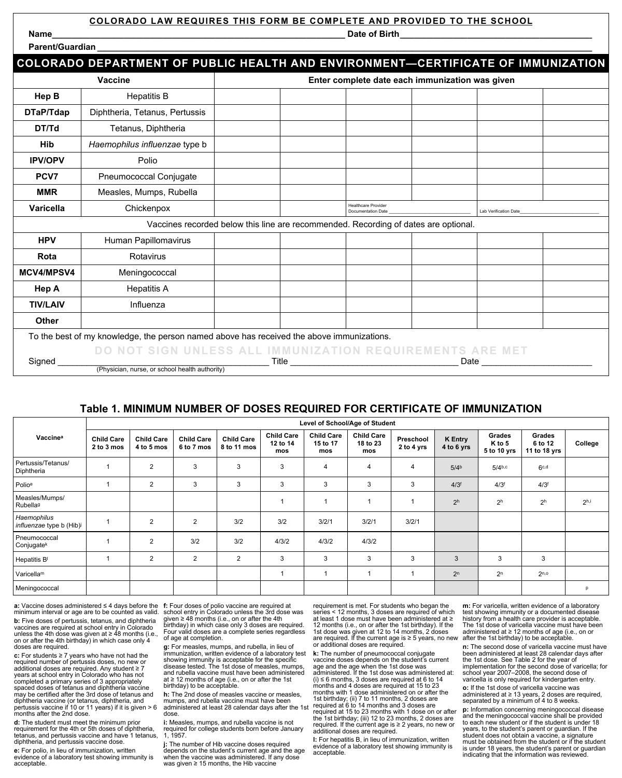## **COLORADO LAW REQUIRES THIS FORM BE COMPLETE AND PROVIDED TO THE SCHOOL**

**Name\_\_\_\_\_\_\_\_\_\_\_\_\_\_\_\_\_\_\_\_\_\_\_\_\_\_\_\_\_\_\_\_\_\_\_\_\_\_\_\_\_\_\_\_\_\_\_\_\_\_\_\_\_\_\_\_\_\_\_\_\_ Date of Birth\_\_\_\_\_\_\_\_\_\_\_\_\_\_\_\_\_\_\_\_\_\_\_\_\_\_\_\_\_\_\_\_\_\_\_\_\_\_\_\_**

| ווש שיש |  |
|---------|--|
|         |  |
|         |  |
|         |  |
|         |  |

| Parent/Guardian |  |
|-----------------|--|
|                 |  |

|                                                                                                                                                                            | COLORADO DEPARTMENT OF PUBLIC HEALTH AND ENVIRONMENT—CERTIFICATE OF IMMUNIZATION          |                                                 |  |                                                  |  |                              |  |  |  |
|----------------------------------------------------------------------------------------------------------------------------------------------------------------------------|-------------------------------------------------------------------------------------------|-------------------------------------------------|--|--------------------------------------------------|--|------------------------------|--|--|--|
|                                                                                                                                                                            | Vaccine                                                                                   | Enter complete date each immunization was given |  |                                                  |  |                              |  |  |  |
| Hep B                                                                                                                                                                      | <b>Hepatitis B</b>                                                                        |                                                 |  |                                                  |  |                              |  |  |  |
| DTaP/Tdap                                                                                                                                                                  | Diphtheria, Tetanus, Pertussis                                                            |                                                 |  |                                                  |  |                              |  |  |  |
| DT/Td                                                                                                                                                                      | Tetanus, Diphtheria                                                                       |                                                 |  |                                                  |  |                              |  |  |  |
| <b>Hib</b>                                                                                                                                                                 | Haemophilus influenzae type b                                                             |                                                 |  |                                                  |  |                              |  |  |  |
| <b>IPV/OPV</b>                                                                                                                                                             | Polio                                                                                     |                                                 |  |                                                  |  |                              |  |  |  |
| PCV7                                                                                                                                                                       | Pneumococcal Conjugate                                                                    |                                                 |  |                                                  |  |                              |  |  |  |
| <b>MMR</b>                                                                                                                                                                 | Measles, Mumps, Rubella                                                                   |                                                 |  |                                                  |  |                              |  |  |  |
| Varicella                                                                                                                                                                  | Chickenpox                                                                                |                                                 |  | <b>Healthcare Provider</b><br>Documentation Date |  | <b>Lab Verification Date</b> |  |  |  |
|                                                                                                                                                                            | Vaccines recorded below this line are recommended. Recording of dates are optional.       |                                                 |  |                                                  |  |                              |  |  |  |
| <b>HPV</b>                                                                                                                                                                 | Human Papillomavirus                                                                      |                                                 |  |                                                  |  |                              |  |  |  |
| Rota                                                                                                                                                                       | Rotavirus                                                                                 |                                                 |  |                                                  |  |                              |  |  |  |
| <b>MCV4/MPSV4</b>                                                                                                                                                          | Meningococcal                                                                             |                                                 |  |                                                  |  |                              |  |  |  |
| Hep A                                                                                                                                                                      | <b>Hepatitis A</b>                                                                        |                                                 |  |                                                  |  |                              |  |  |  |
| <b>TIV/LAIV</b>                                                                                                                                                            | Influenza                                                                                 |                                                 |  |                                                  |  |                              |  |  |  |
| Other                                                                                                                                                                      |                                                                                           |                                                 |  |                                                  |  |                              |  |  |  |
|                                                                                                                                                                            | To the best of my knowledge, the person named above has received the above immunizations. |                                                 |  |                                                  |  |                              |  |  |  |
| DO NOT SIGN UNLESS ALL IMMUNIZATION REQUIREMENTS ARE MET                                                                                                                   |                                                                                           |                                                 |  |                                                  |  |                              |  |  |  |
| Signed<br>Date and the set of the set of the set of the set of the set of the set of the set of the set of the set of th<br>(Physician, nurse, or school health authority) |                                                                                           |                                                 |  |                                                  |  |                              |  |  |  |

## **Table 1. MINIMUM NUMBER OF DOSES REQUIRED FOR CERTIFICATE OF IMMUNIZATION**

|                                        | Level of School/Age of Student  |                                 |                                 |                                  |                                      |                                      |                                      |                         |                              |                                 |                                   |                  |  |  |
|----------------------------------------|---------------------------------|---------------------------------|---------------------------------|----------------------------------|--------------------------------------|--------------------------------------|--------------------------------------|-------------------------|------------------------------|---------------------------------|-----------------------------------|------------------|--|--|
| Vaccine <sup>a</sup>                   | <b>Child Care</b><br>2 to 3 mos | <b>Child Care</b><br>4 to 5 mos | <b>Child Care</b><br>6 to 7 mos | <b>Child Care</b><br>8 to 11 mos | <b>Child Care</b><br>12 to 14<br>mos | <b>Child Care</b><br>15 to 17<br>mos | <b>Child Care</b><br>18 to 23<br>mos | Preschool<br>2 to 4 yrs | <b>K</b> Entry<br>4 to 6 yrs | Grades<br>K to 5<br>5 to 10 yrs | Grades<br>6 to 12<br>11 to 18 yrs | College          |  |  |
| Pertussis/Tetanus/<br>Diphtheria       |                                 | $\overline{2}$                  | 3                               | 3                                | 3                                    | 4                                    | 4                                    | 4                       | 5/4 <sup>b</sup>             | 5/4 <sub>b,c</sub>              | 6 <sub>c,d</sub>                  |                  |  |  |
| Polioe                                 |                                 | $\overline{2}$                  | 3                               | 3                                | 3                                    | 3                                    | 3                                    | 3                       | 4/3 <sup>f</sup>             | 4/3 <sup>f</sup>                | 4/3 <sup>f</sup>                  |                  |  |  |
| Measles/Mumps/<br>Rubellag             |                                 |                                 |                                 |                                  |                                      |                                      |                                      |                         | 2 <sup>h</sup>               | 2 <sup>h</sup>                  | 2 <sup>h</sup>                    | 2 <sub>h,i</sub> |  |  |
| Haemophilus<br>influenzae type b (Hib) |                                 | $\overline{2}$                  | $\overline{2}$                  | 3/2                              | 3/2                                  | 3/2/1                                | 3/2/1                                | 3/2/1                   |                              |                                 |                                   |                  |  |  |
| Pneumococcal<br>Conjugatek             |                                 | $\overline{2}$                  | 3/2                             | 3/2                              | 4/3/2                                | 4/3/2                                | 4/3/2                                |                         |                              |                                 |                                   |                  |  |  |
| Hepatitis B                            |                                 | $\overline{2}$                  | $\overline{2}$                  | $\overline{2}$                   | 3                                    | 3                                    | 3                                    | 3                       | 3                            | 3                               | 3                                 |                  |  |  |
| Varicellam                             |                                 |                                 |                                 |                                  |                                      |                                      |                                      |                         | 2 <sup>n</sup>               | 2 <sup>n</sup>                  | 2n, o                             |                  |  |  |
| Meningococcal                          |                                 |                                 |                                 |                                  |                                      |                                      |                                      |                         |                              |                                 |                                   |                  |  |  |

**a:** Vaccine doses administered ≤ 4 days before the **f:** Four doses of polio vaccine are required at minimum interval or age are to be counted as valid. **b**: Five doses of pertussis, tetanus, and diphtherial vaccines are required at school entry in Colorado unless the 4th dose was given at ≥ 48 months (i.e., on or after the 4th birthday) in which case only 4 doses are required.

**c:** For students ≥ 7 years who have not had the required number of pertussis doses, no new or additional doses are required. Any student ≥<sup>7</sup> years at school entry in Colorado who has not completed a primary series of 3 appropriately spaced doses of tetanus and diphtheria vaccine may be certified after the 3rd dose of tetanus and diphtheria vaccine (or tetanus, diphtheria, and pertussis vaccine if 10 or 11 years) if it is given > 6 months after the 2nd dose.

**d:** The student must meet the minimum prior requirement for the 4th or 5th doses of diphtheria, tetanus, and pertussis vaccine and have 1 tetanus, diphtheria, and pertussis vaccine dose.

**e:** For polio, in lieu of immunization, written evidence of a laboratory test showing immunity is acceptable.

school entry in Colorado unless the 3rd dose was given ≥ 48 months (i.e., on or after the 4th birthday) in which case only 3 doses are required. Four valid doses are a complete series regardless of age at completion.

**g:** For measles, mumps, and rubella, in lieu of immunization, written evidence of a laboratory test showing immunity is acceptable for the specific disease tested. The 1st dose of measles, mumps, and rubella vaccine must have been administered at ≥ 12 months of age (i.e., on or after the 1st birthday) to be acceptable.

**h:** The 2nd dose of measles vaccine or measles, mumps, and rubella vaccine must have been administered at least 28 calendar days after the 1st dose.

**i:** Measles, mumps, and rubella vaccine is not required for college students born before January 1, 1957.

**j:** The number of Hib vaccine doses required depends on the student's current age and the age when the vaccine was administered. If any dose was given  $\geq 15$  months, the Hib vaccine

requirement is met. For students who began the series < 12 months, 3 doses are required of which at least 1 dose must have been administered at  $\ge$  12 months (i.e., on or after the 1st birthday). If the 1st dose was given at 12 to 14 months, 2 doses are required. If the current age is ≥ 5 years, no new or additional doses are required.

**k:** The number of pneumococcal conjugate vaccine doses depends on the student's current age and the age when the 1st dose was administered. If the 1st dose was administered at: (i)  $\leq 6$  months, 3 doses are required at 6 to 14 months and 4 doses are required at 15 to 23 months with 1 dose administered on or after the 1st birthday; (ii) 7 to 11 months, 2 doses are required at 6 to 14 months and 3 doses are required at 15 to 23 months with 1 dose on or after the 1st birthday; (iii) 12 to 23 months, 2 doses are required. If the current age is ≥ 2 years, no new or additional doses are required.

**l:** For hepatitis B, in lieu of immunization, written evidence of a laboratory test showing immunity is acceptable.

**m:** For varicella, written evidence of a laboratory test showing immunity or a documented disease history from a health care provider is acceptable. The 1st dose of varicella vaccine must have been administered at ≥ 12 months of age (i.e., on or after the 1st birthday) to be acceptable.

**n:** The second dose of varicella vaccine must have been administered at least 28 calendar days after the 1st dose. See Table 2 for the year of implementation for the second dose of varicella; for school year 2007–2008, the second dose of varicella is only required for kindergarten entry.

**o:** If the 1st dose of varicella vaccine was administered at ≥ 13 years, 2 doses are required, separated by a minimum of 4 to 8 weeks.

**p:** Information concerning meningococcal disease and the meningococcal vaccine shall be provided to each new student or if the student is under 18 years, to the student's parent or guardian. If the student does not obtain a vaccine, a signature must be obtained from the student or if the student is under 18 years, the student's parent or guardian indicating that the information was reviewed.